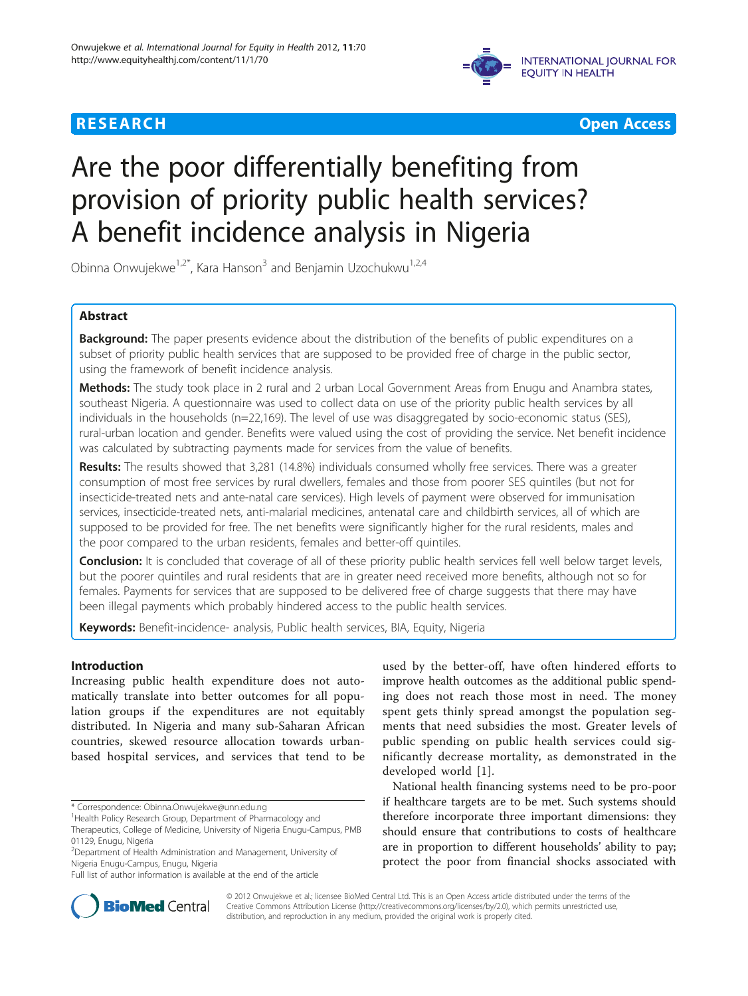



# Are the poor differentially benefiting from provision of priority public health services? A benefit incidence analysis in Nigeria

Obinna Onwujekwe<sup>1,2\*</sup>, Kara Hanson<sup>3</sup> and Benjamin Uzochukwu<sup>1,2,4</sup>

# Abstract

Background: The paper presents evidence about the distribution of the benefits of public expenditures on a subset of priority public health services that are supposed to be provided free of charge in the public sector, using the framework of benefit incidence analysis.

Methods: The study took place in 2 rural and 2 urban Local Government Areas from Enugu and Anambra states, southeast Nigeria. A questionnaire was used to collect data on use of the priority public health services by all individuals in the households (n=22,169). The level of use was disaggregated by socio-economic status (SES), rural-urban location and gender. Benefits were valued using the cost of providing the service. Net benefit incidence was calculated by subtracting payments made for services from the value of benefits.

Results: The results showed that 3,281 (14.8%) individuals consumed wholly free services. There was a greater consumption of most free services by rural dwellers, females and those from poorer SES quintiles (but not for insecticide-treated nets and ante-natal care services). High levels of payment were observed for immunisation services, insecticide-treated nets, anti-malarial medicines, antenatal care and childbirth services, all of which are supposed to be provided for free. The net benefits were significantly higher for the rural residents, males and the poor compared to the urban residents, females and better-off quintiles.

Conclusion: It is concluded that coverage of all of these priority public health services fell well below target levels, but the poorer quintiles and rural residents that are in greater need received more benefits, although not so for females. Payments for services that are supposed to be delivered free of charge suggests that there may have been illegal payments which probably hindered access to the public health services.

Keywords: Benefit-incidence- analysis, Public health services, BIA, Equity, Nigeria

# Introduction

Increasing public health expenditure does not automatically translate into better outcomes for all population groups if the expenditures are not equitably distributed. In Nigeria and many sub-Saharan African countries, skewed resource allocation towards urbanbased hospital services, and services that tend to be

used by the better-off, have often hindered efforts to improve health outcomes as the additional public spending does not reach those most in need. The money spent gets thinly spread amongst the population segments that need subsidies the most. Greater levels of public spending on public health services could significantly decrease mortality, as demonstrated in the developed world [[1](#page-10-0)].

National health financing systems need to be pro-poor if healthcare targets are to be met. Such systems should therefore incorporate three important dimensions: they should ensure that contributions to costs of healthcare are in proportion to different households' ability to pay; protect the poor from financial shocks associated with



© 2012 Onwujekwe et al.; licensee BioMed Central Ltd. This is an Open Access article distributed under the terms of the Creative Commons Attribution License (<http://creativecommons.org/licenses/by/2.0>), which permits unrestricted use, distribution, and reproduction in any medium, provided the original work is properly cited.

<sup>\*</sup> Correspondence: [Obinna.Onwujekwe@unn.edu.ng](mailto:Obinna.Onwujekwe@unn.edu.ng) <sup>1</sup>

<sup>&</sup>lt;sup>1</sup> Health Policy Research Group, Department of Pharmacology and

Therapeutics, College of Medicine, University of Nigeria Enugu-Campus, PMB 01129, Enugu, Nigeria

<sup>2</sup> Department of Health Administration and Management, University of Nigeria Enugu-Campus, Enugu, Nigeria

Full list of author information is available at the end of the article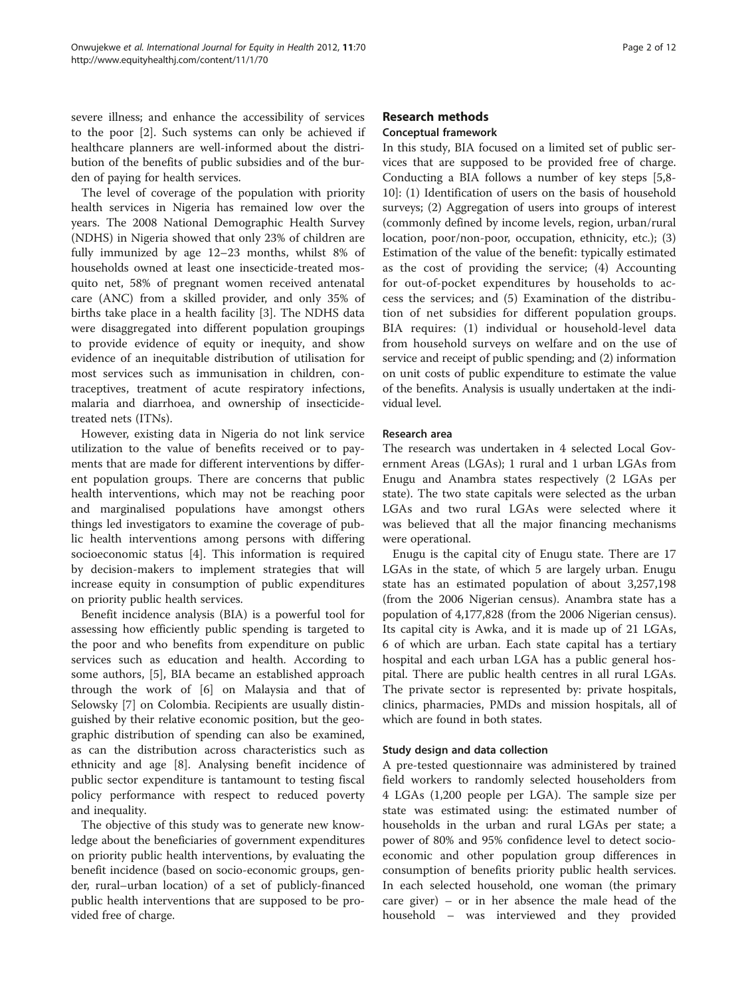severe illness; and enhance the accessibility of services to the poor [\[2](#page-10-0)]. Such systems can only be achieved if healthcare planners are well-informed about the distribution of the benefits of public subsidies and of the burden of paying for health services.

The level of coverage of the population with priority health services in Nigeria has remained low over the years. The 2008 National Demographic Health Survey (NDHS) in Nigeria showed that only 23% of children are fully immunized by age 12–23 months, whilst 8% of households owned at least one insecticide-treated mosquito net, 58% of pregnant women received antenatal care (ANC) from a skilled provider, and only 35% of births take place in a health facility [[3](#page-10-0)]. The NDHS data were disaggregated into different population groupings to provide evidence of equity or inequity, and show evidence of an inequitable distribution of utilisation for most services such as immunisation in children, contraceptives, treatment of acute respiratory infections, malaria and diarrhoea, and ownership of insecticidetreated nets (ITNs).

However, existing data in Nigeria do not link service utilization to the value of benefits received or to payments that are made for different interventions by different population groups. There are concerns that public health interventions, which may not be reaching poor and marginalised populations have amongst others things led investigators to examine the coverage of public health interventions among persons with differing socioeconomic status [[4\]](#page-10-0). This information is required by decision-makers to implement strategies that will increase equity in consumption of public expenditures on priority public health services.

Benefit incidence analysis (BIA) is a powerful tool for assessing how efficiently public spending is targeted to the poor and who benefits from expenditure on public services such as education and health. According to some authors, [\[5\]](#page-10-0), BIA became an established approach through the work of [\[6\]](#page-10-0) on Malaysia and that of Selowsky [\[7](#page-10-0)] on Colombia. Recipients are usually distinguished by their relative economic position, but the geographic distribution of spending can also be examined, as can the distribution across characteristics such as ethnicity and age [[8\]](#page-10-0). Analysing benefit incidence of public sector expenditure is tantamount to testing fiscal policy performance with respect to reduced poverty and inequality.

The objective of this study was to generate new knowledge about the beneficiaries of government expenditures on priority public health interventions, by evaluating the benefit incidence (based on socio-economic groups, gender, rural–urban location) of a set of publicly-financed public health interventions that are supposed to be provided free of charge.

# Research methods

# Conceptual framework

In this study, BIA focused on a limited set of public services that are supposed to be provided free of charge. Conducting a BIA follows a number of key steps [\[5,8-](#page-10-0) [10\]](#page-10-0): (1) Identification of users on the basis of household surveys; (2) Aggregation of users into groups of interest (commonly defined by income levels, region, urban/rural location, poor/non-poor, occupation, ethnicity, etc.); (3) Estimation of the value of the benefit: typically estimated as the cost of providing the service; (4) Accounting for out-of-pocket expenditures by households to access the services; and (5) Examination of the distribution of net subsidies for different population groups. BIA requires: (1) individual or household-level data from household surveys on welfare and on the use of service and receipt of public spending; and (2) information on unit costs of public expenditure to estimate the value of the benefits. Analysis is usually undertaken at the individual level.

#### Research area

The research was undertaken in 4 selected Local Government Areas (LGAs); 1 rural and 1 urban LGAs from Enugu and Anambra states respectively (2 LGAs per state). The two state capitals were selected as the urban LGAs and two rural LGAs were selected where it was believed that all the major financing mechanisms were operational.

Enugu is the capital city of Enugu state. There are 17 LGAs in the state, of which 5 are largely urban. Enugu state has an estimated population of about 3,257,198 (from the 2006 Nigerian census). Anambra state has a population of 4,177,828 (from the 2006 Nigerian census). Its capital city is Awka, and it is made up of 21 LGAs, 6 of which are urban. Each state capital has a tertiary hospital and each urban LGA has a public general hospital. There are public health centres in all rural LGAs. The private sector is represented by: private hospitals, clinics, pharmacies, PMDs and mission hospitals, all of which are found in both states.

# Study design and data collection

A pre-tested questionnaire was administered by trained field workers to randomly selected householders from 4 LGAs (1,200 people per LGA). The sample size per state was estimated using: the estimated number of households in the urban and rural LGAs per state; a power of 80% and 95% confidence level to detect socioeconomic and other population group differences in consumption of benefits priority public health services. In each selected household, one woman (the primary care giver) – or in her absence the male head of the household – was interviewed and they provided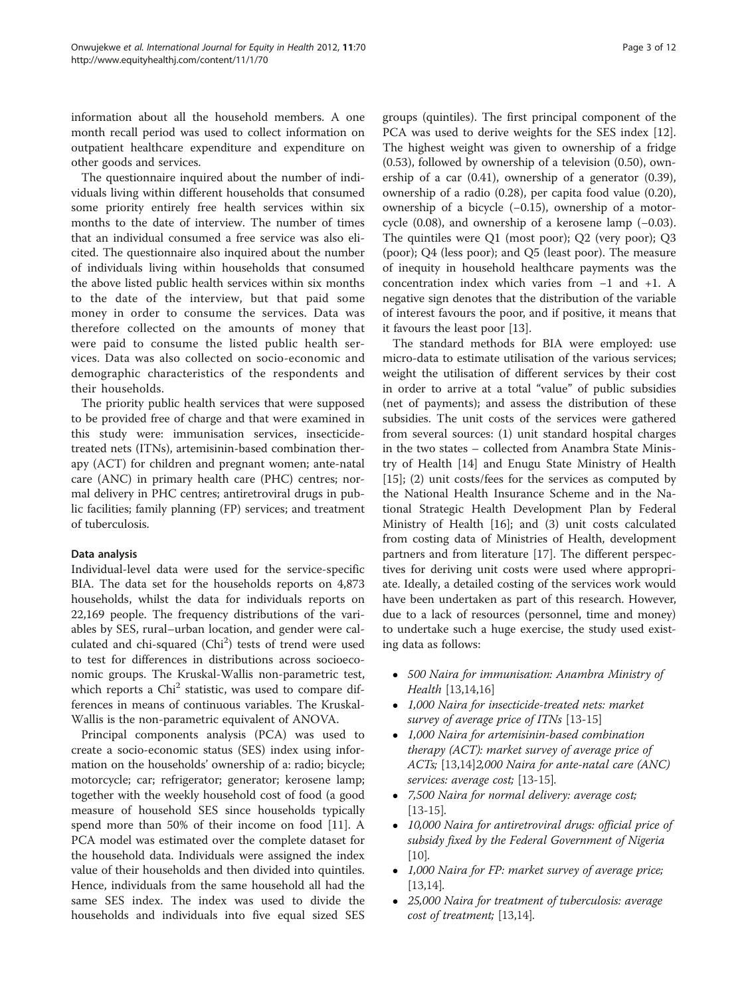information about all the household members. A one month recall period was used to collect information on outpatient healthcare expenditure and expenditure on other goods and services.

The questionnaire inquired about the number of individuals living within different households that consumed some priority entirely free health services within six months to the date of interview. The number of times that an individual consumed a free service was also elicited. The questionnaire also inquired about the number of individuals living within households that consumed the above listed public health services within six months to the date of the interview, but that paid some money in order to consume the services. Data was therefore collected on the amounts of money that were paid to consume the listed public health services. Data was also collected on socio-economic and demographic characteristics of the respondents and their households.

The priority public health services that were supposed to be provided free of charge and that were examined in this study were: immunisation services, insecticidetreated nets (ITNs), artemisinin-based combination therapy (ACT) for children and pregnant women; ante-natal care (ANC) in primary health care (PHC) centres; normal delivery in PHC centres; antiretroviral drugs in public facilities; family planning (FP) services; and treatment of tuberculosis.

#### Data analysis

Individual-level data were used for the service-specific BIA. The data set for the households reports on 4,873 households, whilst the data for individuals reports on 22,169 people. The frequency distributions of the variables by SES, rural–urban location, and gender were calculated and chi-squared (Chi<sup>2</sup>) tests of trend were used to test for differences in distributions across socioeconomic groups. The Kruskal-Wallis non-parametric test, which reports a  $Chi<sup>2</sup>$  statistic, was used to compare differences in means of continuous variables. The Kruskal-Wallis is the non-parametric equivalent of ANOVA.

Principal components analysis (PCA) was used to create a socio-economic status (SES) index using information on the households' ownership of a: radio; bicycle; motorcycle; car; refrigerator; generator; kerosene lamp; together with the weekly household cost of food (a good measure of household SES since households typically spend more than 50% of their income on food [\[11](#page-10-0)]. A PCA model was estimated over the complete dataset for the household data. Individuals were assigned the index value of their households and then divided into quintiles. Hence, individuals from the same household all had the same SES index. The index was used to divide the households and individuals into five equal sized SES groups (quintiles). The first principal component of the PCA was used to derive weights for the SES index [\[12](#page-10-0)]. The highest weight was given to ownership of a fridge (0.53), followed by ownership of a television (0.50), ownership of a car (0.41), ownership of a generator (0.39), ownership of a radio (0.28), per capita food value (0.20), ownership of a bicycle (−0.15), ownership of a motorcycle  $(0.08)$ , and ownership of a kerosene lamp  $(-0.03)$ . The quintiles were Q1 (most poor); Q2 (very poor); Q3 (poor); Q4 (less poor); and Q5 (least poor). The measure of inequity in household healthcare payments was the concentration index which varies from −1 and +1. A negative sign denotes that the distribution of the variable of interest favours the poor, and if positive, it means that it favours the least poor [\[13](#page-10-0)].

The standard methods for BIA were employed: use micro-data to estimate utilisation of the various services; weight the utilisation of different services by their cost in order to arrive at a total "value" of public subsidies (net of payments); and assess the distribution of these subsidies. The unit costs of the services were gathered from several sources: (1) unit standard hospital charges in the two states – collected from Anambra State Ministry of Health [[14\]](#page-10-0) and Enugu State Ministry of Health [[15\]](#page-10-0); (2) unit costs/fees for the services as computed by the National Health Insurance Scheme and in the National Strategic Health Development Plan by Federal Ministry of Health [[16](#page-10-0)]; and (3) unit costs calculated from costing data of Ministries of Health, development partners and from literature [[17](#page-10-0)]. The different perspectives for deriving unit costs were used where appropriate. Ideally, a detailed costing of the services work would have been undertaken as part of this research. However, due to a lack of resources (personnel, time and money) to undertake such a huge exercise, the study used existing data as follows:

- 500 Naira for immunisation: Anambra Ministry of Health [[13,14,16](#page-10-0)]
- 1,000 Naira for insecticide-treated nets: market survey of average price of ITNs [[13](#page-10-0)-[15\]](#page-10-0)
- 1,000 Naira for artemisinin-based combination therapy (ACT): market survey of average price of ACTs; [\[13,14\]](#page-10-0)2,000 Naira for ante-natal care (ANC) services: average cost; [[13](#page-10-0)-[15](#page-10-0)].
- 7,500 Naira for normal delivery: average cost; [[13-15\]](#page-10-0).
- 10,000 Naira for antiretroviral drugs: official price of subsidy fixed by the Federal Government of Nigeria [[10](#page-10-0)].
- 1,000 Naira for FP: market survey of average price; [[13](#page-10-0),[14](#page-10-0)].
- 25,000 Naira for treatment of tuberculosis: average cost of treatment; [[13](#page-10-0),[14](#page-10-0)].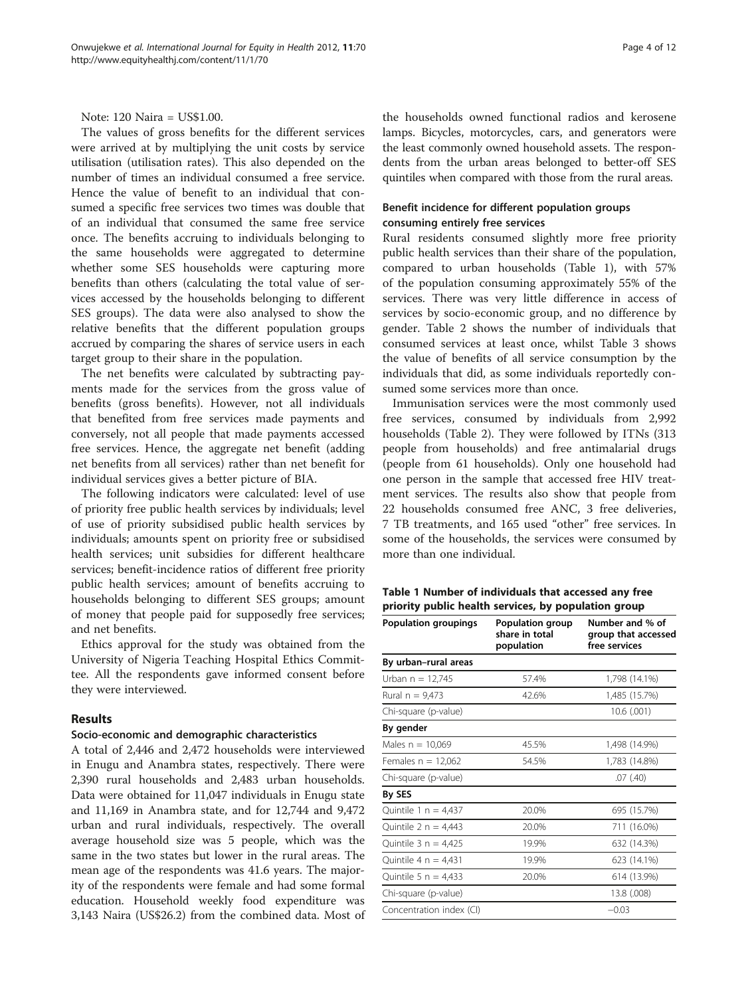The values of gross benefits for the different services were arrived at by multiplying the unit costs by service utilisation (utilisation rates). This also depended on the number of times an individual consumed a free service. Hence the value of benefit to an individual that consumed a specific free services two times was double that of an individual that consumed the same free service once. The benefits accruing to individuals belonging to the same households were aggregated to determine whether some SES households were capturing more benefits than others (calculating the total value of services accessed by the households belonging to different SES groups). The data were also analysed to show the relative benefits that the different population groups accrued by comparing the shares of service users in each target group to their share in the population.

The net benefits were calculated by subtracting payments made for the services from the gross value of benefits (gross benefits). However, not all individuals that benefited from free services made payments and conversely, not all people that made payments accessed free services. Hence, the aggregate net benefit (adding net benefits from all services) rather than net benefit for individual services gives a better picture of BIA.

The following indicators were calculated: level of use of priority free public health services by individuals; level of use of priority subsidised public health services by individuals; amounts spent on priority free or subsidised health services; unit subsidies for different healthcare services; benefit-incidence ratios of different free priority public health services; amount of benefits accruing to households belonging to different SES groups; amount of money that people paid for supposedly free services; and net benefits.

Ethics approval for the study was obtained from the University of Nigeria Teaching Hospital Ethics Committee. All the respondents gave informed consent before they were interviewed.

#### Results

#### Socio-economic and demographic characteristics

A total of 2,446 and 2,472 households were interviewed in Enugu and Anambra states, respectively. There were 2,390 rural households and 2,483 urban households. Data were obtained for 11,047 individuals in Enugu state and 11,169 in Anambra state, and for 12,744 and 9,472 urban and rural individuals, respectively. The overall average household size was 5 people, which was the same in the two states but lower in the rural areas. The mean age of the respondents was 41.6 years. The majority of the respondents were female and had some formal education. Household weekly food expenditure was 3,143 Naira (US\$26.2) from the combined data. Most of

the households owned functional radios and kerosene lamps. Bicycles, motorcycles, cars, and generators were the least commonly owned household assets. The respondents from the urban areas belonged to better-off SES quintiles when compared with those from the rural areas.

### Benefit incidence for different population groups consuming entirely free services

Rural residents consumed slightly more free priority public health services than their share of the population, compared to urban households (Table 1), with 57% of the population consuming approximately 55% of the services. There was very little difference in access of services by socio-economic group, and no difference by gender. Table [2](#page-4-0) shows the number of individuals that consumed services at least once, whilst Table [3](#page-5-0) shows the value of benefits of all service consumption by the individuals that did, as some individuals reportedly consumed some services more than once.

Immunisation services were the most commonly used free services, consumed by individuals from 2,992 households (Table [2](#page-4-0)). They were followed by ITNs (313 people from households) and free antimalarial drugs (people from 61 households). Only one household had one person in the sample that accessed free HIV treatment services. The results also show that people from 22 households consumed free ANC, 3 free deliveries, 7 TB treatments, and 165 used "other" free services. In some of the households, the services were consumed by more than one individual.

Table 1 Number of individuals that accessed any free priority public health services, by population group

| <b>Population groupings</b> | Population group<br>share in total<br>population | Number and % of<br>group that accessed<br>free services |  |  |
|-----------------------------|--------------------------------------------------|---------------------------------------------------------|--|--|
| By urban-rural areas        |                                                  |                                                         |  |  |
| Urban $n = 12,745$          | 57.4%                                            | 1,798 (14.1%)                                           |  |  |
| Rural n = 9,473             | 42.6%                                            | 1,485 (15.7%)                                           |  |  |
| Chi-square (p-value)        |                                                  | 10.6 (.001)                                             |  |  |
| By gender                   |                                                  |                                                         |  |  |
| Males $n = 10,069$          | 45.5%                                            | 1,498 (14.9%)                                           |  |  |
| Females $n = 12,062$        | 54.5%                                            | 1,783 (14.8%)                                           |  |  |
| Chi-square (p-value)        |                                                  | .07(.40)                                                |  |  |
| By SES                      |                                                  |                                                         |  |  |
| Quintile 1 $n = 4,437$      | 20.0%                                            | 695 (15.7%)                                             |  |  |
| Quintile $2 n = 4,443$      | 20.0%                                            | 711 (16.0%)                                             |  |  |
| Quintile $3 n = 4,425$      | 19.9%                                            | 632 (14.3%)                                             |  |  |
| Quintile $4 n = 4,431$      | 19.9%                                            | 623 (14.1%)                                             |  |  |
| Quintile 5 $n = 4,433$      | 20.0%                                            | 614 (13.9%)                                             |  |  |
| Chi-square (p-value)        |                                                  | 13.8 (.008)                                             |  |  |
| Concentration index (CI)    |                                                  | $-0.03$                                                 |  |  |
|                             |                                                  |                                                         |  |  |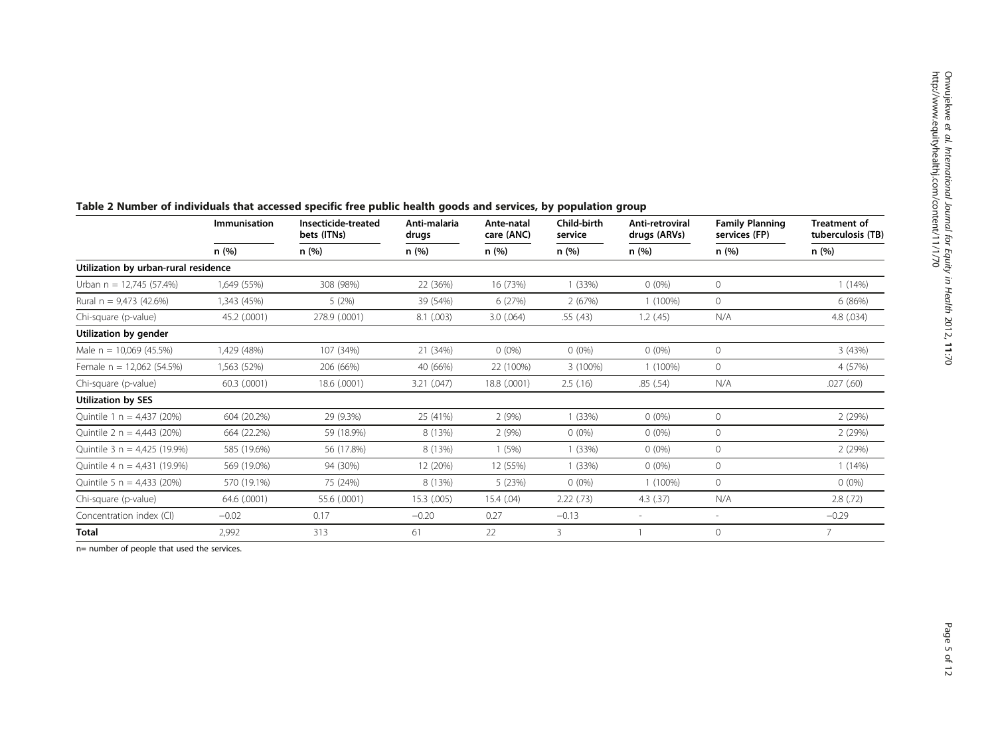|                                      | Immunisation     | Insecticide-treated<br>bets (ITNs) | Anti-malaria<br>drugs | Ante-natal<br>care (ANC) | <b>Child-birth</b><br>service | Anti-retroviral<br>drugs (ARVs) | <b>Family Planning</b><br>services (FP) | <b>Treatment of</b><br>tuberculosis (TB) |
|--------------------------------------|------------------|------------------------------------|-----------------------|--------------------------|-------------------------------|---------------------------------|-----------------------------------------|------------------------------------------|
|                                      | n (%)            | n(%)                               | n(%)                  | n (%)                    | n(%)                          | n(%)                            | n (%)                                   | n(%)                                     |
| Utilization by urban-rural residence |                  |                                    |                       |                          |                               |                                 |                                         |                                          |
| Urban $n = 12,745$ (57.4%)           | 1,649 (55%)      | 308 (98%)                          | 22 (36%)              | 16 (73%)                 | (33%)                         | $0(0\%)$                        | $\circ$                                 | 1(14%)                                   |
| Rural $n = 9,473$ (42.6%)            | 1,343 (45%)      | 5(2%)                              | 39 (54%)              | 6(27%)                   | 2(67%)                        | 1 (100%)                        | $\circ$                                 | 6 (86%)                                  |
| Chi-square (p-value)                 | 45.2 (.0001)     | 278.9 (.0001)                      | 8.1 (.003)            | $3.0$ $(.064)$           | .55(.43)                      | $1.2$ (.45)                     | N/A                                     | 4.8 (.034)                               |
| Utilization by gender                |                  |                                    |                       |                          |                               |                                 |                                         |                                          |
| Male $n = 10,069$ (45.5%)            | 1,429 (48%)      | 107 (34%)                          | 21 (34%)              | $0(0\%)$                 | $0(0\%)$                      | $0(0\%)$                        | $\circ$                                 | 3(43%)                                   |
| Female $n = 12.062$ (54.5%)          | 1,563 (52%)      | 206 (66%)                          | 40 (66%)              | 22 (100%)                | 3 (100%)                      | $1(100\%)$                      | $\circ$                                 | 4 (57%)                                  |
| Chi-square (p-value)                 | $60.3$ $(.0001)$ | 18.6 (.0001)                       | 3.21(.047)            | 18.8 (.0001)             | 2.5(0.16)                     | .85(.54)                        | N/A                                     | .027(.60)                                |
| <b>Utilization by SES</b>            |                  |                                    |                       |                          |                               |                                 |                                         |                                          |
| Quintile 1 $n = 4,437$ (20%)         | 604 (20.2%)      | 29 (9.3%)                          | 25 (41%)              | 2(9%)                    | (33%)                         | $0(0\%)$                        | $\circ$                                 | 2(29%)                                   |
| Ouintile $2 n = 4.443$ (20%)         | 664 (22.2%)      | 59 (18.9%)                         | 8 (13%)               | 2(9%)                    | $0(0\%)$                      | $0(0\%)$                        | $\circ$                                 | 2(29%)                                   |
| Quintile $3 n = 4,425 (19.9%)$       | 585 (19.6%)      | 56 (17.8%)                         | 8 (13%)               | 1(5%)                    | (33%)                         | $0(0\%)$                        | $\circ$                                 | 2(29%)                                   |
| Ouintile 4 $n = 4.431$ (19.9%)       | 569 (19.0%)      | 94 (30%)                           | 12 (20%)              | 12 (55%)                 | (33%)                         | $0(0\%)$                        | $\circ$                                 | 1(14%)                                   |
| Quintile 5 $n = 4,433$ (20%)         | 570 (19.1%)      | 75 (24%)                           | 8 (13%)               | 5(23%)                   | $0(0\%)$                      | 1 (100%)                        | $\overline{0}$                          | $0(0\%)$                                 |
| Chi-square (p-value)                 | 64.6 (.0001)     | 55.6 (.0001)                       | 15.3 (.005)           | 15.4(.04)                | 2.22(.73)                     | $4.3$ (.37)                     | N/A                                     | 2.8(.72)                                 |
| Concentration index (CI)             | $-0.02$          | 0.17                               | $-0.20$               | 0.27                     | $-0.13$                       | $\overline{\phantom{a}}$        | $\overline{\phantom{a}}$                | $-0.29$                                  |
| <b>Total</b>                         | 2,992            | 313                                | 61                    | 22                       | $\overline{3}$                |                                 | $\circ$                                 | $\overline{7}$                           |

#### <span id="page-4-0"></span>Table 2 Number of individuals that accessed specific free public health goods and services, by population group

n= number of people that used the services.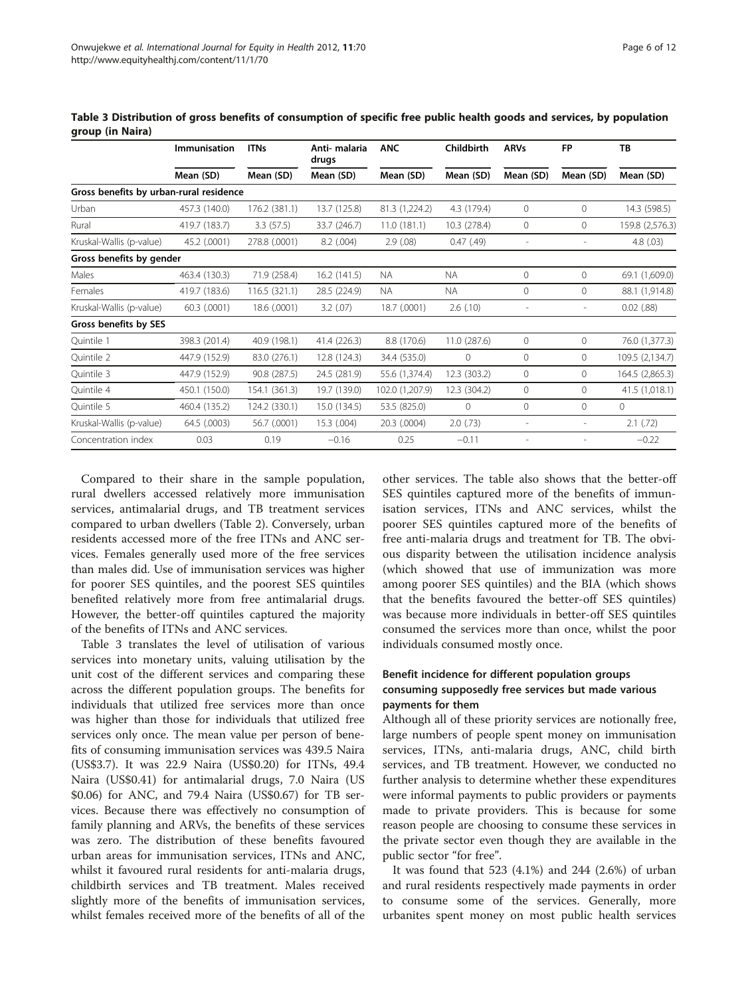|                                         | <b>Immunisation</b> | <b>ITNs</b>   | Anti-malaria<br>drugs | <b>ANC</b>      | <b>Childbirth</b> | <b>ARVs</b>              | <b>FP</b>                | TB              |
|-----------------------------------------|---------------------|---------------|-----------------------|-----------------|-------------------|--------------------------|--------------------------|-----------------|
|                                         | Mean (SD)           | Mean (SD)     | Mean (SD)             | Mean (SD)       | Mean (SD)         | Mean (SD)                | Mean (SD)                | Mean (SD)       |
| Gross benefits by urban-rural residence |                     |               |                       |                 |                   |                          |                          |                 |
| Urban                                   | 457.3 (140.0)       | 176.2 (381.1) | 13.7 (125.8)          | 81.3 (1,224.2)  | 4.3 (179.4)       | $\mathbf{0}$             | 0                        | 14.3 (598.5)    |
| Rural                                   | 419.7 (183.7)       | 3.3(57.5)     | 33.7 (246.7)          | 11.0(181.1)     | 10.3 (278.4)      | 0                        | 0                        | 159.8 (2,576.3) |
| Kruskal-Wallis (p-value)                | 45.2 (.0001)        | 278.8 (.0001) | $8.2$ (.004)          | 2.9(0.08)       | $0.47$ (.49)      | $\overline{\phantom{a}}$ |                          | $4.8$ $(0.03)$  |
| Gross benefits by gender                |                     |               |                       |                 |                   |                          |                          |                 |
| Males                                   | 463.4 (130.3)       | 71.9 (258.4)  | 16.2(141.5)           | <b>NA</b>       | NA.               | 0                        | $\Omega$                 | 69.1 (1,609.0)  |
| Females                                 | 419.7 (183.6)       | 116.5 (321.1) | 28.5 (224.9)          | <b>NA</b>       | <b>NA</b>         | 0                        | $\circ$                  | 88.1 (1,914.8)  |
| Kruskal-Wallis (p-value)                | $60.3$ $(0001)$     | 18.6 (.0001)  | $3.2$ (.07)           | 18.7 (.0001)    | $2.6$ $(.10)$     | $\overline{\phantom{a}}$ | $\overline{\phantom{a}}$ | $0.02$ (.88)    |
| Gross benefits by SES                   |                     |               |                       |                 |                   |                          |                          |                 |
| Quintile 1                              | 398.3 (201.4)       | 40.9 (198.1)  | 41.4 (226.3)          | 8.8 (170.6)     | 11.0 (287.6)      | 0                        | 0                        | 76.0 (1,377.3)  |
| Quintile 2                              | 447.9 (152.9)       | 83.0 (276.1)  | 12.8 (124.3)          | 34.4 (535.0)    | $\Omega$          | 0                        | $\Omega$                 | 109.5 (2,134.7) |
| Quintile 3                              | 447.9 (152.9)       | 90.8 (287.5)  | 24.5 (281.9)          | 55.6 (1,374.4)  | 12.3 (303.2)      | 0                        | $\Omega$                 | 164.5 (2,865.3) |
| Quintile 4                              | 450.1 (150.0)       | 154.1 (361.3) | 19.7 (139.0)          | 102.0 (1,207.9) | 12.3 (304.2)      | 0                        | $\circ$                  | 41.5 (1,018.1)  |
| Quintile 5                              | 460.4 (135.2)       | 124.2 (330.1) | 15.0 (134.5)          | 53.5 (825.0)    | 0                 | 0                        | $\Omega$                 | $\Omega$        |
| Kruskal-Wallis (p-value)                | 64.5 (.0003)        | 56.7 (.0001)  | 15.3 (.004)           | 20.3 (.0004)    | $2.0$ (.73)       | $\overline{\phantom{a}}$ | $\overline{\phantom{a}}$ | $2.1$ (.72)     |
| Concentration index                     | 0.03                | 0.19          | $-0.16$               | 0.25            | $-0.11$           |                          |                          | $-0.22$         |

<span id="page-5-0"></span>Table 3 Distribution of gross benefits of consumption of specific free public health goods and services, by population group (in Naira)

Compared to their share in the sample population, rural dwellers accessed relatively more immunisation services, antimalarial drugs, and TB treatment services compared to urban dwellers (Table [2](#page-4-0)). Conversely, urban residents accessed more of the free ITNs and ANC services. Females generally used more of the free services than males did. Use of immunisation services was higher for poorer SES quintiles, and the poorest SES quintiles benefited relatively more from free antimalarial drugs. However, the better-off quintiles captured the majority of the benefits of ITNs and ANC services.

Table 3 translates the level of utilisation of various services into monetary units, valuing utilisation by the unit cost of the different services and comparing these across the different population groups. The benefits for individuals that utilized free services more than once was higher than those for individuals that utilized free services only once. The mean value per person of benefits of consuming immunisation services was 439.5 Naira (US\$3.7). It was 22.9 Naira (US\$0.20) for ITNs, 49.4 Naira (US\$0.41) for antimalarial drugs, 7.0 Naira (US \$0.06) for ANC, and 79.4 Naira (US\$0.67) for TB services. Because there was effectively no consumption of family planning and ARVs, the benefits of these services was zero. The distribution of these benefits favoured urban areas for immunisation services, ITNs and ANC, whilst it favoured rural residents for anti-malaria drugs, childbirth services and TB treatment. Males received slightly more of the benefits of immunisation services, whilst females received more of the benefits of all of the

other services. The table also shows that the better-off SES quintiles captured more of the benefits of immunisation services, ITNs and ANC services, whilst the poorer SES quintiles captured more of the benefits of free anti-malaria drugs and treatment for TB. The obvious disparity between the utilisation incidence analysis (which showed that use of immunization was more among poorer SES quintiles) and the BIA (which shows that the benefits favoured the better-off SES quintiles) was because more individuals in better-off SES quintiles consumed the services more than once, whilst the poor individuals consumed mostly once.

### Benefit incidence for different population groups consuming supposedly free services but made various payments for them

Although all of these priority services are notionally free, large numbers of people spent money on immunisation services, ITNs, anti-malaria drugs, ANC, child birth services, and TB treatment. However, we conducted no further analysis to determine whether these expenditures were informal payments to public providers or payments made to private providers. This is because for some reason people are choosing to consume these services in the private sector even though they are available in the public sector "for free".

It was found that 523 (4.1%) and 244 (2.6%) of urban and rural residents respectively made payments in order to consume some of the services. Generally, more urbanites spent money on most public health services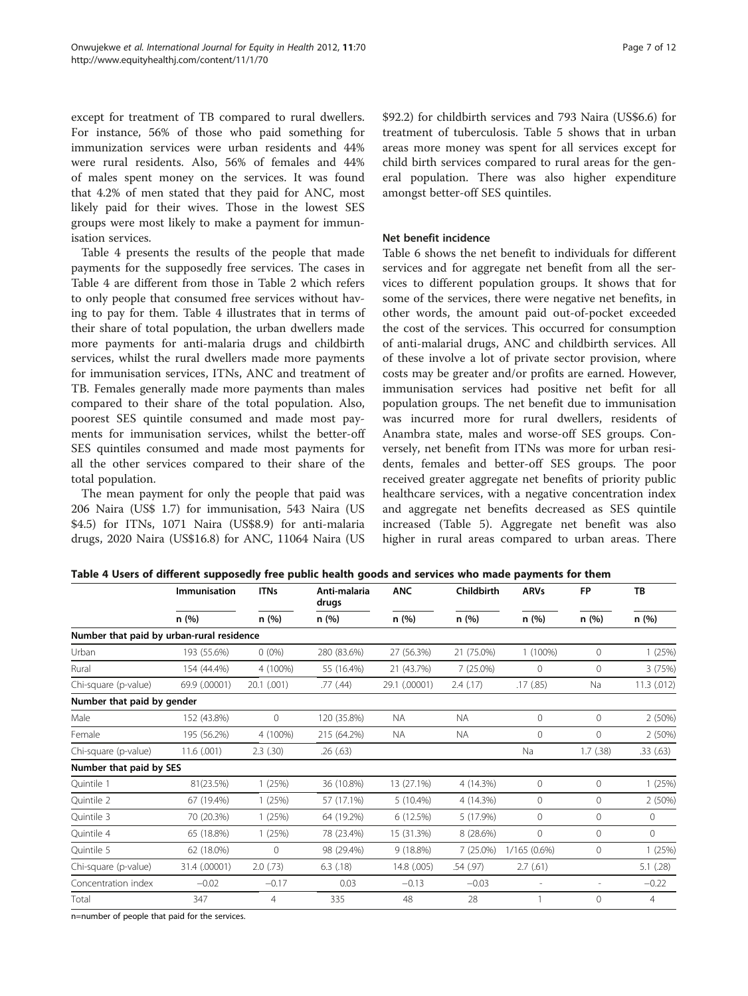except for treatment of TB compared to rural dwellers. For instance, 56% of those who paid something for immunization services were urban residents and 44% were rural residents. Also, 56% of females and 44% of males spent money on the services. It was found that 4.2% of men stated that they paid for ANC, most likely paid for their wives. Those in the lowest SES groups were most likely to make a payment for immunisation services.

Table 4 presents the results of the people that made payments for the supposedly free services. The cases in Table 4 are different from those in Table [2](#page-4-0) which refers to only people that consumed free services without having to pay for them. Table 4 illustrates that in terms of their share of total population, the urban dwellers made more payments for anti-malaria drugs and childbirth services, whilst the rural dwellers made more payments for immunisation services, ITNs, ANC and treatment of TB. Females generally made more payments than males compared to their share of the total population. Also, poorest SES quintile consumed and made most payments for immunisation services, whilst the better-off SES quintiles consumed and made most payments for all the other services compared to their share of the total population.

The mean payment for only the people that paid was 206 Naira (US\$ 1.7) for immunisation, 543 Naira (US \$4.5) for ITNs, 1071 Naira (US\$8.9) for anti-malaria drugs, 2020 Naira (US\$16.8) for ANC, 11064 Naira (US \$92.2) for childbirth services and 793 Naira (US\$6.6) for treatment of tuberculosis. Table [5](#page-7-0) shows that in urban areas more money was spent for all services except for child birth services compared to rural areas for the general population. There was also higher expenditure amongst better-off SES quintiles.

#### Net benefit incidence

Table [6](#page-8-0) shows the net benefit to individuals for different services and for aggregate net benefit from all the services to different population groups. It shows that for some of the services, there were negative net benefits, in other words, the amount paid out-of-pocket exceeded the cost of the services. This occurred for consumption of anti-malarial drugs, ANC and childbirth services. All of these involve a lot of private sector provision, where costs may be greater and/or profits are earned. However, immunisation services had positive net befit for all population groups. The net benefit due to immunisation was incurred more for rural dwellers, residents of Anambra state, males and worse-off SES groups. Conversely, net benefit from ITNs was more for urban residents, females and better-off SES groups. The poor received greater aggregate net benefits of priority public healthcare services, with a negative concentration index and aggregate net benefits decreased as SES quintile increased (Table [5\)](#page-7-0). Aggregate net benefit was also higher in rural areas compared to urban areas. There

|                                           | Immunisation  | <b>ITNs</b>    | Anti-malaria<br>drugs | <b>ANC</b>    | Childbirth  | <b>ARVs</b>  | <b>FP</b>      | TB             |
|-------------------------------------------|---------------|----------------|-----------------------|---------------|-------------|--------------|----------------|----------------|
|                                           | n (%)         | n (%)          | n(%)                  | n(%)          | n(%)        | n (%)        | n(%)           | n (%)          |
| Number that paid by urban-rural residence |               |                |                       |               |             |              |                |                |
| Urban                                     | 193 (55.6%)   | $0(0\%)$       | 280 (83.6%)           | 27 (56.3%)    | 21 (75.0%)  | 1 (100%)     | $\Omega$       | 1(25%)         |
| Rural                                     | 154 (44.4%)   | 4 (100%)       | 55 (16.4%)            | 21 (43.7%)    | $7(25.0\%)$ | 0            | $\Omega$       | 3(75%)         |
| Chi-square (p-value)                      | 69.9 (.00001) | 20.1 (.001)    | .77(.44)              | 29.1 (.00001) | 2.4(.17)    | .17(.85)     | Na             | $11.3$ (.012)  |
| Number that paid by gender                |               |                |                       |               |             |              |                |                |
| Male                                      | 152 (43.8%)   | $\circ$        | 120 (35.8%)           | <b>NA</b>     | <b>NA</b>   | $\circ$      | $\mathbf{0}$   | 2 (50%)        |
| Female                                    | 195 (56.2%)   | 4 (100%)       | 215 (64.2%)           | NA.           | <b>NA</b>   | $\mathbf{0}$ | $\Omega$       | 2(50%)         |
| Chi-square (p-value)                      | 11.6 (.001)   | 2.3(.30)       | .26(.63)              |               |             | Na           | $1.7$ (.38)    | .33(63)        |
| Number that paid by SES                   |               |                |                       |               |             |              |                |                |
| Ouintile 1                                | 81(23.5%)     | 1(25%)         | 36 (10.8%)            | 13 (27.1%)    | 4 (14.3%)   | $\mathbf{0}$ | $\Omega$       | 1(25%)         |
| Quintile 2                                | 67 (19.4%)    | 1(25%)         | 57 (17.1%)            | $5(10.4\%)$   | 4 (14.3%)   | $\mathbf{0}$ | $\Omega$       | 2 (50%)        |
| Quintile 3                                | 70 (20.3%)    | 1(25%)         | 64 (19.2%)            | 6 (12.5%)     | 5 (17.9%)   | $\mathbf 0$  | $\circ$        | $\mathbf{0}$   |
| Quintile 4                                | 65 (18.8%)    | 1(25%)         | 78 (23.4%)            | 15 (31.3%)    | 8 (28.6%)   | $\mathbf{0}$ | $\circ$        | $\mathbf{0}$   |
| Quintile 5                                | 62 (18.0%)    | $\circ$        | 98 (29.4%)            | 9 (18.8%)     | $7(25.0\%)$ | 1/165(0.6%)  | $\circ$        | 1(25%)         |
| Chi-square (p-value)                      | 31.4 (.00001) | $2.0$ (.73)    | $6.3$ $(.18)$         | 14.8 (.005)   | .54(.97)    | 2.7(61)      |                | $5.1$ $(.28)$  |
| Concentration index                       | $-0.02$       | $-0.17$        | 0.03                  | $-0.13$       | $-0.03$     |              | $\overline{a}$ | $-0.22$        |
| Total                                     | 347           | $\overline{4}$ | 335                   | 48            | 28          |              | $\Omega$       | $\overline{4}$ |

Table 4 Users of different supposedly free public health goods and services who made payments for them

n=number of people that paid for the services.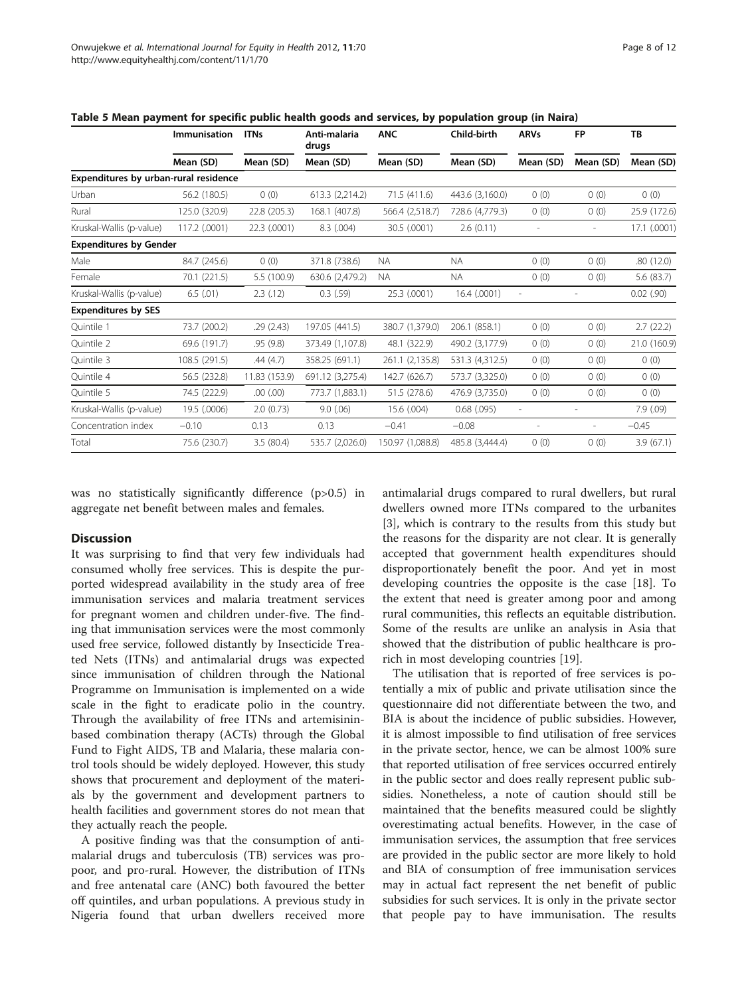|                                       | Immunisation  | <b>ITNs</b>   | Anti-malaria<br>drugs | <b>ANC</b>       | Child-birth     | <b>ARVs</b>              | <b>FP</b>      | TB           |
|---------------------------------------|---------------|---------------|-----------------------|------------------|-----------------|--------------------------|----------------|--------------|
|                                       | Mean (SD)     | Mean (SD)     | Mean (SD)             | Mean (SD)        | Mean (SD)       | Mean (SD)                | Mean (SD)      | Mean (SD)    |
| Expenditures by urban-rural residence |               |               |                       |                  |                 |                          |                |              |
| Urban                                 | 56.2 (180.5)  | 0(0)          | 613.3 (2,214.2)       | 71.5 (411.6)     | 443.6 (3,160.0) | 0(0)                     | 0(0)           | 0(0)         |
| Rural                                 | 125.0 (320.9) | 22.8 (205.3)  | 168.1 (407.8)         | 566.4 (2,518.7)  | 728.6 (4,779.3) | 0(0)                     | 0(0)           | 25.9 (172.6) |
| Kruskal-Wallis (p-value)              | 117.2 (.0001) | 22.3 (.0001)  | 8.3(.004)             | 30.5 (.0001)     | 2.6(0.11)       | $\overline{\phantom{a}}$ | $\overline{a}$ | 17.1 (.0001) |
| <b>Expenditures by Gender</b>         |               |               |                       |                  |                 |                          |                |              |
| Male                                  | 84.7 (245.6)  | 0(0)          | 371.8 (738.6)         | <b>NA</b>        | NA.             | 0(0)                     | 0(0)           | .80(12.0)    |
| Female                                | 70.1 (221.5)  | 5.5 (100.9)   | 630.6 (2,479.2)       | NA.              | ΝA              | 0(0)                     | 0(0)           | 5.6(83.7)    |
| Kruskal-Wallis (p-value)              | $6.5$ (.01)   | 2.3(12)       | $0.3$ (.59)           | 25.3 (.0001)     | 16.4 (.0001)    |                          |                | $0.02$ (.90) |
| <b>Expenditures by SES</b>            |               |               |                       |                  |                 |                          |                |              |
| Quintile 1                            | 73.7 (200.2)  | .29(2.43)     | 197.05 (441.5)        | 380.7 (1,379.0)  | 206.1 (858.1)   | 0(0)                     | 0(0)           | 2.7(22.2)    |
| Quintile 2                            | 69.6 (191.7)  | .95(9.8)      | 373.49 (1,107.8)      | 48.1 (322.9)     | 490.2 (3,177.9) | 0(0)                     | 0(0)           | 21.0 (160.9) |
| Quintile 3                            | 108.5 (291.5) | .44(4.7)      | 358.25 (691.1)        | 261.1 (2,135.8)  | 531.3 (4,312.5) | 0(0)                     | 0(0)           | 0(0)         |
| Quintile 4                            | 56.5 (232.8)  | 11.83 (153.9) | 691.12 (3,275.4)      | 142.7 (626.7)    | 573.7 (3,325.0) | 0(0)                     | 0(0)           | 0(0)         |
| Quintile 5                            | 74.5 (222.9)  | .00(.00)      | 773.7 (1,883.1)       | 51.5 (278.6)     | 476.9 (3,735.0) | 0(0)                     | 0(0)           | 0(0)         |
| Kruskal-Wallis (p-value)              | 19.5 (.0006)  | 2.0(0.73)     | 9.0(0.06)             | 15.6 (.004)      | $0.68$ $(.095)$ |                          |                | 7.9 (.09)    |
| Concentration index                   | $-0.10$       | 0.13          | 0.13                  | $-0.41$          | $-0.08$         | $\overline{\phantom{a}}$ | $\overline{a}$ | $-0.45$      |
| Total                                 | 75.6 (230.7)  | 3.5(80.4)     | 535.7 (2,026.0)       | 150.97 (1,088.8) | 485.8 (3,444.4) | 0(0)                     | 0(0)           | 3.9(67.1)    |

<span id="page-7-0"></span>Table 5 Mean payment for specific public health goods and services, by population group (in Naira)

was no statistically significantly difference (p>0.5) in aggregate net benefit between males and females.

#### **Discussion**

It was surprising to find that very few individuals had consumed wholly free services. This is despite the purported widespread availability in the study area of free immunisation services and malaria treatment services for pregnant women and children under-five. The finding that immunisation services were the most commonly used free service, followed distantly by Insecticide Treated Nets (ITNs) and antimalarial drugs was expected since immunisation of children through the National Programme on Immunisation is implemented on a wide scale in the fight to eradicate polio in the country. Through the availability of free ITNs and artemisininbased combination therapy (ACTs) through the Global Fund to Fight AIDS, TB and Malaria, these malaria control tools should be widely deployed. However, this study shows that procurement and deployment of the materials by the government and development partners to health facilities and government stores do not mean that they actually reach the people.

A positive finding was that the consumption of antimalarial drugs and tuberculosis (TB) services was propoor, and pro-rural. However, the distribution of ITNs and free antenatal care (ANC) both favoured the better off quintiles, and urban populations. A previous study in Nigeria found that urban dwellers received more

antimalarial drugs compared to rural dwellers, but rural dwellers owned more ITNs compared to the urbanites [[3\]](#page-10-0), which is contrary to the results from this study but the reasons for the disparity are not clear. It is generally accepted that government health expenditures should disproportionately benefit the poor. And yet in most developing countries the opposite is the case [\[18\]](#page-10-0). To the extent that need is greater among poor and among rural communities, this reflects an equitable distribution. Some of the results are unlike an analysis in Asia that showed that the distribution of public healthcare is prorich in most developing countries [[19\]](#page-10-0).

The utilisation that is reported of free services is potentially a mix of public and private utilisation since the questionnaire did not differentiate between the two, and BIA is about the incidence of public subsidies. However, it is almost impossible to find utilisation of free services in the private sector, hence, we can be almost 100% sure that reported utilisation of free services occurred entirely in the public sector and does really represent public subsidies. Nonetheless, a note of caution should still be maintained that the benefits measured could be slightly overestimating actual benefits. However, in the case of immunisation services, the assumption that free services are provided in the public sector are more likely to hold and BIA of consumption of free immunisation services may in actual fact represent the net benefit of public subsidies for such services. It is only in the private sector that people pay to have immunisation. The results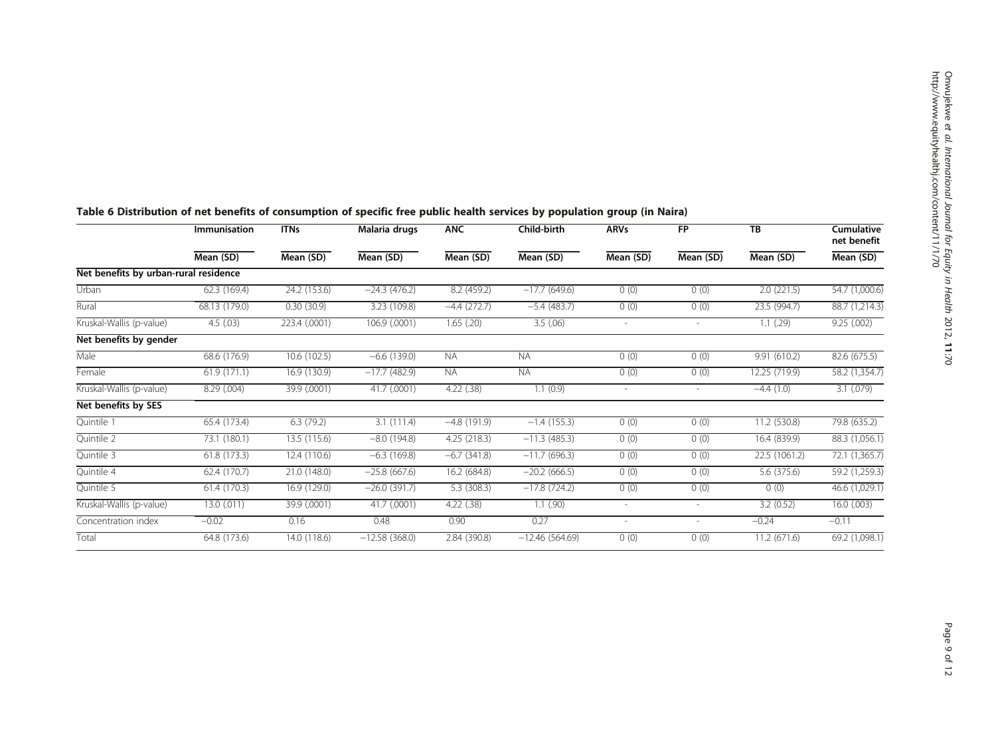|                                       | Immunisation  | <b>ITNs</b>   | Malaria drugs   | <b>ANC</b>    | <b>Child-birth</b> | <b>ARVs</b>              | $\overline{FP}$          | $\overline{TB}$ | <b>Cumulative</b><br>net benefit |
|---------------------------------------|---------------|---------------|-----------------|---------------|--------------------|--------------------------|--------------------------|-----------------|----------------------------------|
|                                       | Mean (SD)     | Mean (SD)     | Mean (SD)       | Mean (SD)     | Mean (SD)          | Mean (SD)                | Mean (SD)                | Mean (SD)       | Mean (SD)                        |
| Net benefits by urban-rural residence |               |               |                 |               |                    |                          |                          |                 |                                  |
| Urban                                 | 62.3 (169.4)  | 24.2 (153.6)  | $-24.3(476.2)$  | 8.2 (459.2)   | $-17.7(649.6)$     | 0(0)                     | 0(0)                     | 2.0(221.5)      | 54.7 (1,000.6)                   |
| Rural                                 | 68.13 (179.0) | 0.30(30.9)    | 3.23 (109.8)    | $-4.4(272.7)$ | $-5.4(483.7)$      | 0(0)                     | 0(0)                     | 23.5 (994.7)    | 88.7 (1,214.3)                   |
| Kruskal-Wallis (p-value)              | 4.5(.03)      | 223.4 (.0001) | 106.9 (.0001)   | $1.65$ (.20)  | 3.5(.06)           |                          | $\overline{\phantom{a}}$ | $1.1$ (.29)     | 9.25 (.002)                      |
| Net benefits by gender                |               |               |                 |               |                    |                          |                          |                 |                                  |
| Male                                  | 68.6 (176.9)  | 10.6 (102.5)  | $-6.6(139.0)$   | <b>NA</b>     | <b>NA</b>          | 0(0)                     | 0(0)                     | 9.91(610.2)     | 82.6 (675.5)                     |
| Female                                | 61.9(171.1)   | 16.9 (130.9)  | $-17.7(482.9)$  | <b>NA</b>     | NA                 | 0(0)                     | 0(0)                     | 12.25 (719.9)   | 58.2(1,354.7)                    |
| Kruskal-Wallis (p-value)              | 8.29 (.004)   | 39.9 (.0001)  | 41.7 (.0001)    | 4.22(.38)     | 1.1(0.9)           | $\overline{\phantom{a}}$ | $\sim$                   | $-4.4(1.0)$     | 3.1(.079)                        |
| Net benefits by SES                   |               |               |                 |               |                    |                          |                          |                 |                                  |
| Quintile 1                            | 65.4 (173.4)  | 6.3(79.2)     | 3.1(111.4)      | $-4.8(191.9)$ | $-1.4(155.3)$      | 0(0)                     | 0(0)                     | 11.2 (530.8)    | 79.8 (635.2)                     |
| Quintile 2                            | 73.1 (180.1)  | 13.5(115.6)   | $-8.0(194.8)$   | 4.25(218.3)   | $-11.3(485.3)$     | 0(0)                     | 0(0)                     | 16.4 (839.9)    | 88.3 (1,056.1)                   |
| Quintile 3                            | 61.8(173.3)   | 12.4(110.6)   | $-6.3(169.8)$   | $-6.7(341.8)$ | $-11.7(696.3)$     | 0(0)                     | 0(0)                     | 22.5 (1061.2)   | 72.1 (1,365.7)                   |
| Quintile 4                            | 62.4 (170.7)  | 21.0 (148.0)  | $-25.8(667.6)$  | 16.2 (684.8)  | $-20.2(666.5)$     | 0(0)                     | 0(0)                     | 5.6 (375.6)     | 59.2 (1,259.3)                   |
| Quintile 5                            | 61.4(170.3)   | 16.9 (129.0)  | $-26.0(391.7)$  | 5.3(308.3)    | $-17.8(724.2)$     | 0(0)                     | 0(0)                     | 0(0)            | 46.6(1,029.1)                    |
| Kruskal-Wallis (p-value)              | $13.0$ (.011) | 39.9 (.0001)  | 41.7 (.0001)    | 4.22 (.38)    | $1.1$ (.90)        | $\sim$                   | $\sim$                   | 3.2(0.52)       | $16.0$ $(.003)$                  |
| Concentration index                   | $-0.02$       | 0.16          | 0.48            | 0.90          | 0.27               | $\overline{a}$           | $\overline{\phantom{a}}$ | $-0.24$         | $-0.11$                          |
| Total                                 | 64.8 (173.6)  | 14.0 (118.6)  | $-12.58(368.0)$ | 2.84 (390.8)  | $-12.46(564.69)$   | 0(0)                     | 0(0)                     | 11.2(671.6)     | 69.2 (1,098.1)                   |

# <span id="page-8-0"></span>Table 6 Distribution of net benefits of consumption of specific free public health services by population group (in Naira)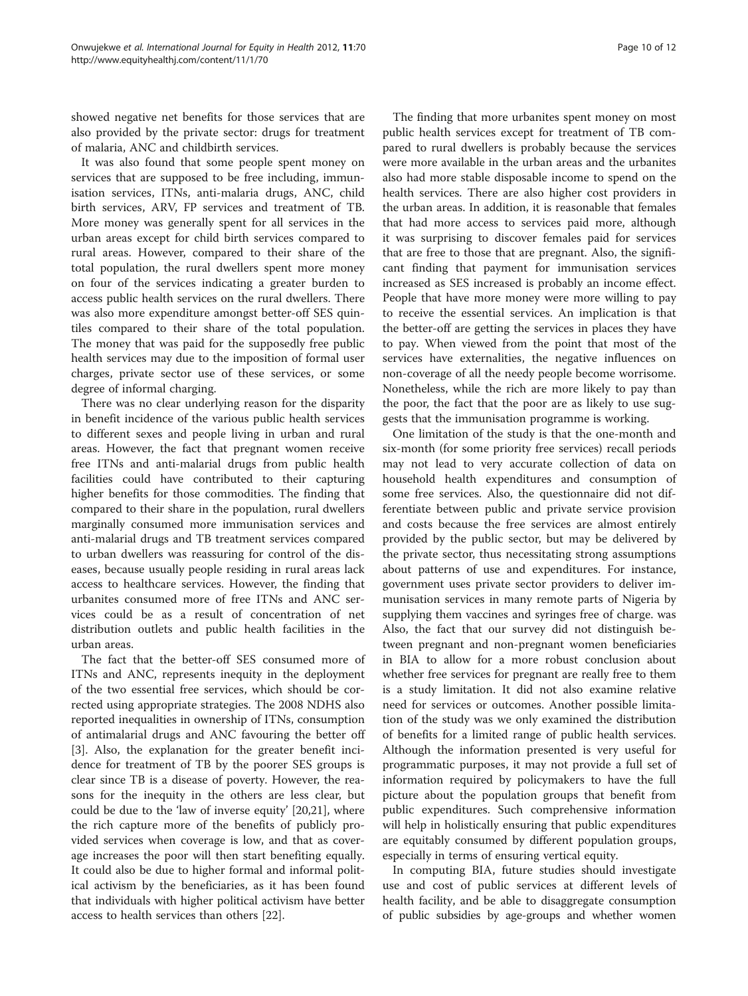showed negative net benefits for those services that are also provided by the private sector: drugs for treatment of malaria, ANC and childbirth services.

It was also found that some people spent money on services that are supposed to be free including, immunisation services, ITNs, anti-malaria drugs, ANC, child birth services, ARV, FP services and treatment of TB. More money was generally spent for all services in the urban areas except for child birth services compared to rural areas. However, compared to their share of the total population, the rural dwellers spent more money on four of the services indicating a greater burden to access public health services on the rural dwellers. There was also more expenditure amongst better-off SES quintiles compared to their share of the total population. The money that was paid for the supposedly free public health services may due to the imposition of formal user charges, private sector use of these services, or some degree of informal charging.

There was no clear underlying reason for the disparity in benefit incidence of the various public health services to different sexes and people living in urban and rural areas. However, the fact that pregnant women receive free ITNs and anti-malarial drugs from public health facilities could have contributed to their capturing higher benefits for those commodities. The finding that compared to their share in the population, rural dwellers marginally consumed more immunisation services and anti-malarial drugs and TB treatment services compared to urban dwellers was reassuring for control of the diseases, because usually people residing in rural areas lack access to healthcare services. However, the finding that urbanites consumed more of free ITNs and ANC services could be as a result of concentration of net distribution outlets and public health facilities in the urban areas.

The fact that the better-off SES consumed more of ITNs and ANC, represents inequity in the deployment of the two essential free services, which should be corrected using appropriate strategies. The 2008 NDHS also reported inequalities in ownership of ITNs, consumption of antimalarial drugs and ANC favouring the better off [[3\]](#page-10-0). Also, the explanation for the greater benefit incidence for treatment of TB by the poorer SES groups is clear since TB is a disease of poverty. However, the reasons for the inequity in the others are less clear, but could be due to the 'law of inverse equity' [[20](#page-10-0),[21](#page-11-0)], where the rich capture more of the benefits of publicly provided services when coverage is low, and that as coverage increases the poor will then start benefiting equally. It could also be due to higher formal and informal political activism by the beneficiaries, as it has been found that individuals with higher political activism have better access to health services than others [[22](#page-11-0)].

The finding that more urbanites spent money on most public health services except for treatment of TB compared to rural dwellers is probably because the services were more available in the urban areas and the urbanites also had more stable disposable income to spend on the health services. There are also higher cost providers in the urban areas. In addition, it is reasonable that females that had more access to services paid more, although it was surprising to discover females paid for services that are free to those that are pregnant. Also, the significant finding that payment for immunisation services increased as SES increased is probably an income effect. People that have more money were more willing to pay to receive the essential services. An implication is that the better-off are getting the services in places they have to pay. When viewed from the point that most of the services have externalities, the negative influences on non-coverage of all the needy people become worrisome. Nonetheless, while the rich are more likely to pay than the poor, the fact that the poor are as likely to use suggests that the immunisation programme is working.

One limitation of the study is that the one-month and six-month (for some priority free services) recall periods may not lead to very accurate collection of data on household health expenditures and consumption of some free services. Also, the questionnaire did not differentiate between public and private service provision and costs because the free services are almost entirely provided by the public sector, but may be delivered by the private sector, thus necessitating strong assumptions about patterns of use and expenditures. For instance, government uses private sector providers to deliver immunisation services in many remote parts of Nigeria by supplying them vaccines and syringes free of charge. was Also, the fact that our survey did not distinguish between pregnant and non-pregnant women beneficiaries in BIA to allow for a more robust conclusion about whether free services for pregnant are really free to them is a study limitation. It did not also examine relative need for services or outcomes. Another possible limitation of the study was we only examined the distribution of benefits for a limited range of public health services. Although the information presented is very useful for programmatic purposes, it may not provide a full set of information required by policymakers to have the full picture about the population groups that benefit from public expenditures. Such comprehensive information will help in holistically ensuring that public expenditures are equitably consumed by different population groups, especially in terms of ensuring vertical equity.

In computing BIA, future studies should investigate use and cost of public services at different levels of health facility, and be able to disaggregate consumption of public subsidies by age-groups and whether women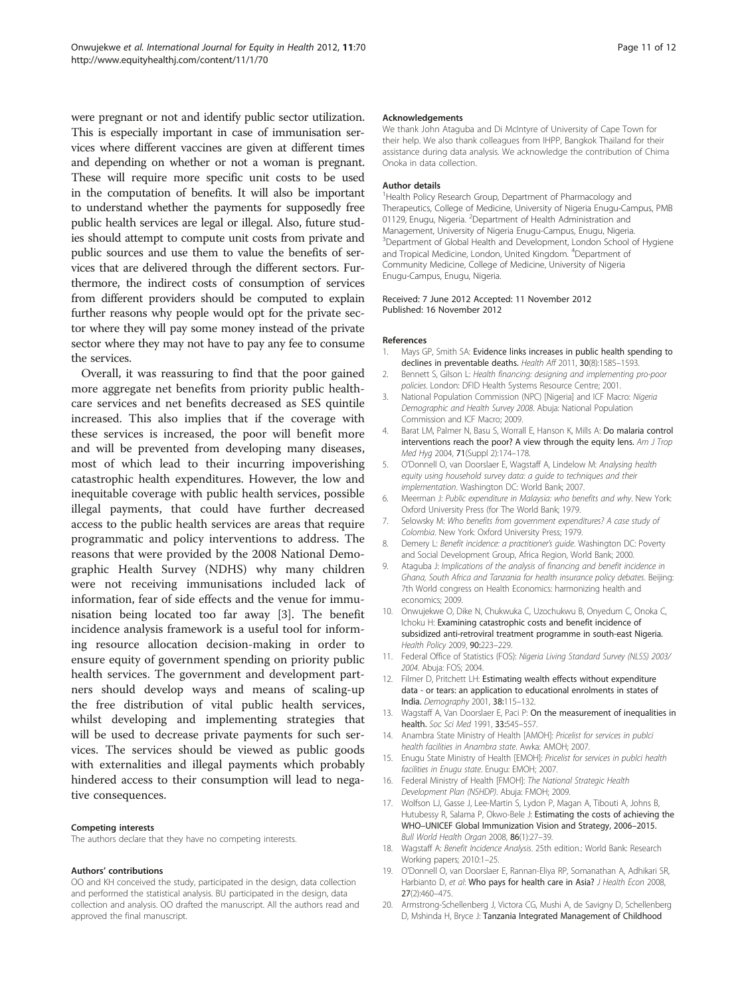<span id="page-10-0"></span>were pregnant or not and identify public sector utilization. This is especially important in case of immunisation services where different vaccines are given at different times and depending on whether or not a woman is pregnant. These will require more specific unit costs to be used in the computation of benefits. It will also be important to understand whether the payments for supposedly free public health services are legal or illegal. Also, future studies should attempt to compute unit costs from private and public sources and use them to value the benefits of services that are delivered through the different sectors. Furthermore, the indirect costs of consumption of services from different providers should be computed to explain further reasons why people would opt for the private sector where they will pay some money instead of the private sector where they may not have to pay any fee to consume the services.

Overall, it was reassuring to find that the poor gained more aggregate net benefits from priority public healthcare services and net benefits decreased as SES quintile increased. This also implies that if the coverage with these services is increased, the poor will benefit more and will be prevented from developing many diseases, most of which lead to their incurring impoverishing catastrophic health expenditures. However, the low and inequitable coverage with public health services, possible illegal payments, that could have further decreased access to the public health services are areas that require programmatic and policy interventions to address. The reasons that were provided by the 2008 National Demographic Health Survey (NDHS) why many children were not receiving immunisations included lack of information, fear of side effects and the venue for immunisation being located too far away [3]. The benefit incidence analysis framework is a useful tool for informing resource allocation decision-making in order to ensure equity of government spending on priority public health services. The government and development partners should develop ways and means of scaling-up the free distribution of vital public health services, whilst developing and implementing strategies that will be used to decrease private payments for such services. The services should be viewed as public goods with externalities and illegal payments which probably hindered access to their consumption will lead to negative consequences.

#### Competing interests

The authors declare that they have no competing interests.

#### Authors' contributions

OO and KH conceived the study, participated in the design, data collection and performed the statistical analysis. BU participated in the design, data collection and analysis. OO drafted the manuscript. All the authors read and approved the final manuscript.

#### Acknowledgements

We thank John Ataguba and Di McIntyre of University of Cape Town for their help. We also thank colleagues from IHPP, Bangkok Thailand for their assistance during data analysis. We acknowledge the contribution of Chima Onoka in data collection.

#### Author details

<sup>1</sup> Health Policy Research Group, Department of Pharmacology and Therapeutics, College of Medicine, University of Nigeria Enugu-Campus, PMB 01129, Enugu, Nigeria. <sup>2</sup>Department of Health Administration and Management, University of Nigeria Enugu-Campus, Enugu, Nigeria. <sup>3</sup>Department of Global Health and Development, London School of Hygiene and Tropical Medicine, London, United Kingdom. <sup>4</sup>Department of Community Medicine, College of Medicine, University of Nigeria Enugu-Campus, Enugu, Nigeria.

#### Received: 7 June 2012 Accepted: 11 November 2012 Published: 16 November 2012

#### References

- 1. Mays GP, Smith SA: Evidence links increases in public health spending to declines in preventable deaths. Health Aff 2011, 30(8):1585–1593.
- 2. Bennett S, Gilson L: Health financing: designing and implementing pro-poor policies. London: DFID Health Systems Resource Centre; 2001.
- 3. National Population Commission (NPC) [Nigeria] and ICF Macro: Nigeria Demographic and Health Survey 2008. Abuja: National Population Commission and ICF Macro; 2009.
- 4. Barat LM, Palmer N, Basu S, Worrall E, Hanson K, Mills A: Do malaria control interventions reach the poor? A view through the equity lens. Am  $J$  Trop Med Hyg 2004, 71(Suppl 2):174–178.
- 5. O'Donnell O, van Doorslaer E, Wagstaff A, Lindelow M: Analysing health equity using household survey data: a guide to techniques and their implementation. Washington DC: World Bank; 2007.
- Meerman J: Public expenditure in Malaysia: who benefits and why. New York: Oxford University Press (for The World Bank; 1979.
- 7. Selowsky M: Who benefits from government expenditures? A case study of Colombia. New York: Oxford University Press; 1979.
- 8. Demery L: Benefit incidence: a practitioner's quide. Washington DC: Poverty and Social Development Group, Africa Region, World Bank; 2000.
- 9. Ataguba J: Implications of the analysis of financing and benefit incidence in Ghana, South Africa and Tanzania for health insurance policy debates. Beijing: 7th World congress on Health Economics: harmonizing health and economics; 2009.
- 10. Onwujekwe O, Dike N, Chukwuka C, Uzochukwu B, Onyedum C, Onoka C, Ichoku H: Examining catastrophic costs and benefit incidence of subsidized anti-retroviral treatment programme in south-east Nigeria. Health Policy 2009, 90:223–229.
- 11. Federal Office of Statistics (FOS): Nigeria Living Standard Survey (NLSS) 2003/ 2004. Abuja: FOS; 2004.
- 12. Filmer D, Pritchett LH: Estimating wealth effects without expenditure data - or tears: an application to educational enrolments in states of India. Demography 2001, 38:115–132.
- 13. Wagstaff A, Van Doorslaer E, Paci P: On the measurement of inequalities in health. Soc Sci Med 1991, 33:545–557.
- 14. Anambra State Ministry of Health [AMOH]: Pricelist for services in publci health facilities in Anambra state. Awka: AMOH; 2007.
- 15. Enugu State Ministry of Health [EMOH]: Pricelist for services in publci health facilities in Enugu state. Enugu: EMOH; 2007.
- 16. Federal Ministry of Health [FMOH]: The National Strategic Health Development Plan (NSHDP). Abuja: FMOH; 2009.
- 17. Wolfson LJ, Gasse J, Lee-Martin S, Lydon P, Magan A, Tibouti A, Johns B, Hutubessy R, Salama P, Okwo-Bele J: Estimating the costs of achieving the WHO–UNICEF Global Immunization Vision and Strategy, 2006–2015. Bull World Health Organ 2008, 86(1):27–39.
- 18. Wagstaff A: Benefit Incidence Analysis. 25th edition.: World Bank: Research Working papers; 2010:1–25.
- 19. O'Donnell O, van Doorslaer E, Rannan-Eliya RP, Somanathan A, Adhikari SR, Harbianto D, et al: Who pays for health care in Asia? J Health Econ 2008, 27(2):460–475.
- 20. Armstrong-Schellenberg J, Victora CG, Mushi A, de Savigny D, Schellenberg D, Mshinda H, Bryce J: Tanzania Integrated Management of Childhood